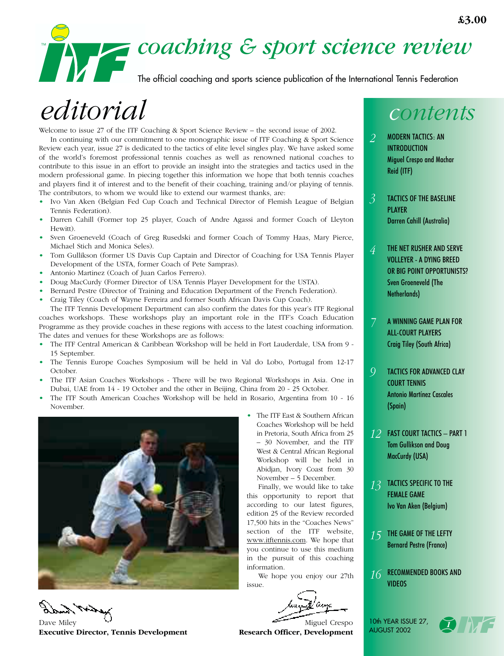

The official coaching and sports science publication of the International Tennis Federation

# *editorial*

Welcome to issue 27 of the ITF Coaching & Sport Science Review – the second issue of 2002.

In continuing with our commitment to one monographic issue of ITF Coaching & Sport Science Review each year, issue 27 is dedicated to the tactics of elite level singles play. We have asked some of the world's foremost professional tennis coaches as well as renowned national coaches to contribute to this issue in an effort to provide an insight into the strategies and tactics used in the modern professional game. In piecing together this information we hope that both tennis coaches and players find it of interest and to the benefit of their coaching, training and/or playing of tennis. The contributors, to whom we would like to extend our warmest thanks, are:

- Ivo Van Aken (Belgian Fed Cup Coach and Technical Director of Flemish League of Belgian Tennis Federation).
- Darren Cahill (Former top 25 player, Coach of Andre Agassi and former Coach of Lleyton Hewitt).
- Sven Groeneveld (Coach of Greg Rusedski and former Coach of Tommy Haas, Mary Pierce, Michael Stich and Monica Seles).
- Tom Gullikson (former US Davis Cup Captain and Director of Coaching for USA Tennis Player Development of the USTA, former Coach of Pete Sampras).
- Antonio Martinez (Coach of Juan Carlos Ferrero).
- Doug MacCurdy (Former Director of USA Tennis Player Development for the USTA).
- Bernard Pestre (Director of Training and Education Department of the French Federation).
- Craig Tiley (Coach of Wayne Ferreira and former South African Davis Cup Coach).

The ITF Tennis Development Department can also confirm the dates for this year's ITF Regional coaches workshops. These workshops play an important role in the ITF's Coach Education Programme as they provide coaches in these regions with access to the latest coaching information. The dates and venues for these Workshops are as follows:

- The ITF Central American & Caribbean Workshop will be held in Fort Lauderdale, USA from 9 15 September.
- The Tennis Europe Coaches Symposium will be held in Val do Lobo, Portugal from 12-17 October.
- The ITF Asian Coaches Workshops There will be two Regional Workshops in Asia. One in Dubai, UAE from 14 - 19 October and the other in Beijing, China from 20 - 25 October.
- The ITF South American Coaches Workshop will be held in Rosario, Argentina from 10 16 November.



• The ITF East & Southern African Coaches Workshop will be held in Pretoria, South Africa from 25 – 30 November, and the ITF West & Central African Regional Workshop will be held in Abidjan, Ivory Coast from 30 November – 5 December.

Finally, we would like to take this opportunity to report that according to our latest figures, edition 25 of the Review recorded 17,500 hits in the "Coaches News" section of the ITF website, www.itftennis.com. We hope that you continue to use this medium in the pursuit of this coaching information.

We hope you enjoy our 27th issue.

# *contents*

- MODERN TACTICS: AN INTRODUCTION Miguel Crespo and Machar Reid (ITF) *2*
- TACTICS OF THE BASELINE PLAYER Darren Cahill (Australia) *3*

*4*

- THE NET RUSHER AND SERVE VOLLEYER - A DYING BREED OR BIG POINT OPPORTUNISTS? Sven Groeneveld (The Netherlands)
- A WINNING GAME PLAN FOR ALL-COURT PLAYERS Craig Tiley (South Africa) *7*
- TACTICS FOR ADVANCED CLAY COURT TENNIS Antonio Martínez Cascales (Spain) *9*
- FAST COURT TACTICS PART 1 *12* Tom Gullikson and Doug MacCurdy (USA)
- TACTICS SPECIFIC TO THE FEMALE GAME Ivo Van Aken (Belgium) *13*
- THE GAME OF THE LEFTY Bernard Pestre (France) *15*
- RECOMMENDED BOOKS AND VIDEOS *16*





Dave Miley Miguel Crespo **Executive Director, Tennis Development Research Officer, Development**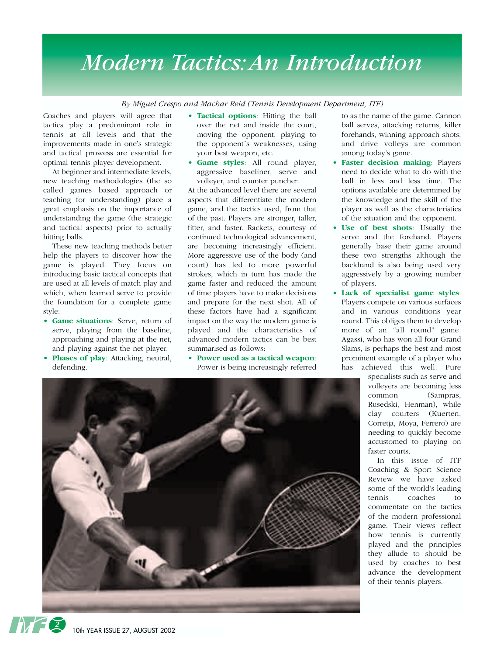## *Modern Tactics:An Introduction*

*By Miguel Crespo and Machar Reid (Tennis Development Department, ITF)*

Coaches and players will agree that tactics play a predominant role in tennis at all levels and that the improvements made in one's strategic and tactical prowess are essential for optimal tennis player development.

At beginner and intermediate levels, new teaching methodologies (the so called games based approach or teaching for understanding) place a great emphasis on the importance of understanding the game (the strategic and tactical aspects) prior to actually hitting balls.

These new teaching methods better help the players to discover how the game is played. They focus on introducing basic tactical concepts that are used at all levels of match play and which, when learned serve to provide the foundation for a complete game style:

- **Game situations**: Serve, return of serve, playing from the baseline, approaching and playing at the net, and playing against the net player.
- **• Phases of play**: Attacking, neutral, defending.
- **Tactical options**: Hitting the ball over the net and inside the court, moving the opponent, playing to the opponent´s weaknesses, using your best weapon, etc.
- **• Game styles**: All round player, aggressive baseliner, serve and volleyer, and counter puncher.

At the advanced level there are several aspects that differentiate the modern game, and the tactics used, from that of the past. Players are stronger, taller, fitter, and faster. Rackets, courtesy of continued technological advancement, are becoming increasingly efficient. More aggressive use of the body (and court) has led to more powerful strokes, which in turn has made the game faster and reduced the amount of time players have to make decisions and prepare for the next shot. All of these factors have had a significant impact on the way the modern game is played and the characteristics of advanced modern tactics can be best summarised as follows:

**• Power used as a tactical weapon**: Power is being increasingly referred

to as the name of the game. Cannon ball serves, attacking returns, killer forehands, winning approach shots, and drive volleys are common among today's game.

- **Faster decision making: Players** need to decide what to do with the ball in less and less time. The options available are determined by the knowledge and the skill of the player as well as the characteristics of the situation and the opponent.
- **• Use of best shots**: Usually the serve and the forehand. Players generally base their game around these two strengths although the backhand is also being used very aggressively by a growing number of players.
- **• Lack of specialist game styles**: Players compete on various surfaces and in various conditions year round. This obliges them to develop more of an "all round" game. Agassi, who has won all four Grand Slams, is perhaps the best and most prominent example of a player who has achieved this well. Pure

specialists such as serve and volleyers are becoming less common (Sampras, Rusedski, Henman), while clay courters (Kuerten, Corretja, Moya, Ferrero) are needing to quickly become accustomed to playing on faster courts.

In this issue of ITF Coaching & Sport Science Review we have asked some of the world's leading tennis coaches to commentate on the tactics of the modern professional game. Their views reflect how tennis is currently played and the principles they allude to should be used by coaches to best advance the development of their tennis players.



10th YEAR ISSUE 27, AUGUST 2002

**2**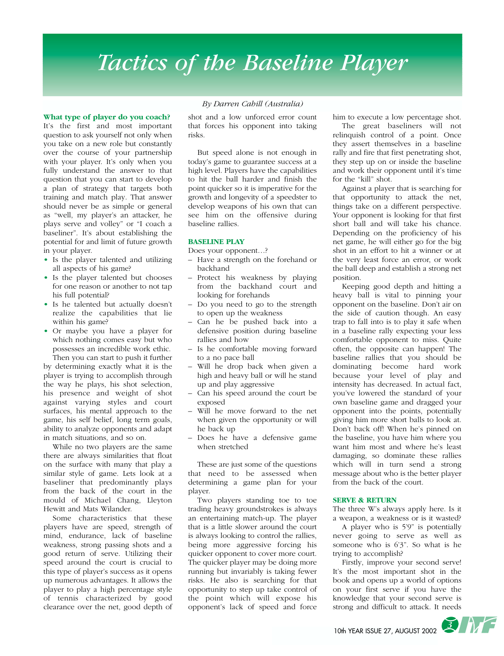# *Tactics of the Baseline Player*

#### **What type of player do you coach?**

It's the first and most important question to ask yourself not only when you take on a new role but constantly over the course of your partnership with your player. It's only when you fully understand the answer to that question that you can start to develop a plan of strategy that targets both training and match play. That answer should never be as simple or general as "well, my player's an attacker, he plays serve and volley" or "I coach a baseliner". It's about establishing the potential for and limit of future growth in your player.

- **•** Is the player talented and utilizing all aspects of his game?
- **•** Is the player talented but chooses for one reason or another to not tap his full potential?
- **•** Is he talented but actually doesn't realize the capabilities that lie within his game?
- **•** Or maybe you have a player for which nothing comes easy but who possesses an incredible work ethic.

Then you can start to push it further by determining exactly what it is the player is trying to accomplish through the way he plays, his shot selection, his presence and weight of shot against varying styles and court surfaces, his mental approach to the game, his self belief, long term goals, ability to analyze opponents and adapt in match situations, and so on.

While no two players are the same there are always similarities that float on the surface with many that play a similar style of game. Lets look at a baseliner that predominantly plays from the back of the court in the mould of Michael Chang, Lleyton Hewitt and Mats Wilander.

Some characteristics that these players have are speed, strength of mind, endurance, lack of baseline weakness, strong passing shots and a good return of serve. Utilizing their speed around the court is crucial to this type of player's success as it opens up numerous advantages. It allows the player to play a high percentage style of tennis characterized by good clearance over the net, good depth of

#### *By Darren Cahill (Australia)*

shot and a low unforced error count that forces his opponent into taking risks.

But speed alone is not enough in today's game to guarantee success at a high level. Players have the capabilities to hit the ball harder and finish the point quicker so it is imperative for the growth and longevity of a speedster to develop weapons of his own that can see him on the offensive during baseline rallies.

#### **BASELINE PLAY**

Does your opponent…?

- Have a strength on the forehand or backhand
- Protect his weakness by playing from the backhand court and looking for forehands
- Do you need to go to the strength to open up the weakness
- Can he be pushed back into a defensive position during baseline rallies and how
- Is he comfortable moving forward to a no pace ball
- Will he drop back when given a high and heavy ball or will he stand up and play aggressive
- Can his speed around the court be exposed
- Will he move forward to the net when given the opportunity or will he back up
- Does he have a defensive game when stretched

These are just some of the questions that need to be assessed when determining a game plan for your player.

Two players standing toe to toe trading heavy groundstrokes is always an entertaining match-up. The player that is a little slower around the court is always looking to control the rallies, being more aggressive forcing his quicker opponent to cover more court. The quicker player may be doing more running but invariably is taking fewer risks. He also is searching for that opportunity to step up take control of the point which will expose his opponent's lack of speed and force him to execute a low percentage shot.

The great baseliners will not relinquish control of a point. Once they assert themselves in a baseline rally and fire that first penetrating shot, they step up on or inside the baseline and work their opponent until it's time for the "kill" shot.

Against a player that is searching for that opportunity to attack the net, things take on a different perspective. Your opponent is looking for that first short ball and will take his chance. Depending on the proficiency of his net game, he will either go for the big shot in an effort to hit a winner or at the very least force an error, or work the ball deep and establish a strong net position.

Keeping good depth and hitting a heavy ball is vital to pinning your opponent on the baseline. Don't air on the side of caution though. An easy trap to fall into is to play it safe when in a baseline rally expecting your less comfortable opponent to miss. Quite often, the opposite can happen! The baseline rallies that you should be dominating become hard work because your level of play and intensity has decreased. In actual fact, you've lowered the standard of your own baseline game and dragged your opponent into the points, potentially giving him more short balls to look at. Don't back off! When he's pinned on the baseline, you have him where you want him most and where he's least damaging, so dominate these rallies which will in turn send a strong message about who is the better player from the back of the court.

#### **SERVE & RETURN**

The three W's always apply here. Is it a weapon, a weakness or is it wasted?

A player who is 5'9" is potentially never going to serve as well as someone who is 6'3". So what is he trying to accomplish?

Firstly, improve your second serve! It's the most important shot in the book and opens up a world of options on your first serve if you have the knowledge that your second serve is strong and difficult to attack. It needs

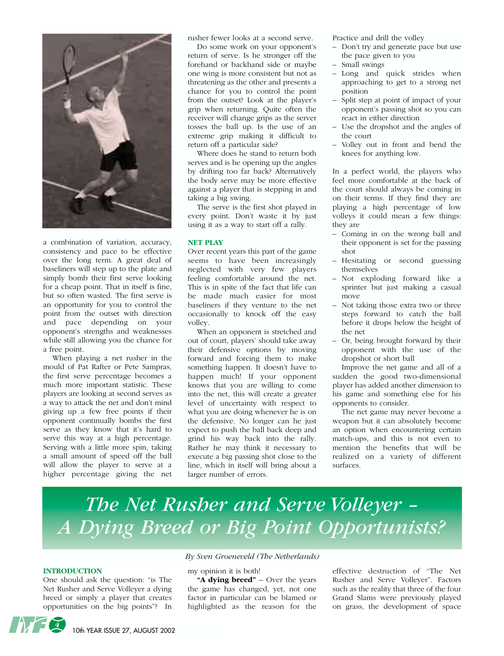

a combination of variation, accuracy, consistency and pace to be effective over the long term. A great deal of baseliners will step up to the plate and simply bomb their first serve looking for a cheap point. That in itself is fine, but so often wasted. The first serve is an opportunity for you to control the point from the outset with direction and pace depending on your opponent's strengths and weaknesses while still allowing you the chance for a free point.

When playing a net rusher in the mould of Pat Rafter or Pete Sampras, the first serve percentage becomes a much more important statistic. These players are looking at second serves as a way to attack the net and don't mind giving up a few free points if their opponent continually bombs the first serve as they know that it's hard to serve this way at a high percentage. Serving with a little more spin, taking a small amount of speed off the ball will allow the player to serve at a higher percentage giving the net rusher fewer looks at a second serve.

Do some work on your opponent's return of serve. Is he stronger off the forehand or backhand side or maybe one wing is more consistent but not as threatening as the other and presents a chance for you to control the point from the outset? Look at the player's grip when returning. Quite often the receiver will change grips as the server tosses the ball up. Is the use of an extreme grip making it difficult to return off a particular side?

Where does he stand to return both serves and is he opening up the angles by drifting too far back? Alternatively the body serve may be more effective against a player that is stepping in and taking a big swing.

The serve is the first shot played in every point. Don't waste it by just using it as a way to start off a rally.

#### **NET PLAY**

Over recent years this part of the game seems to have been increasingly neglected with very few players feeling comfortable around the net. This is in spite of the fact that life can be made much easier for most baseliners if they venture to the net occasionally to knock off the easy volley.

When an opponent is stretched and out of court, players' should take away their defensive options by moving forward and forcing them to make something happen. It doesn't have to happen much! If your opponent knows that you are willing to come into the net, this will create a greater level of uncertainty with respect to what you are doing whenever he is on the defensive. No longer can he just expect to push the ball back deep and grind his way back into the rally. Rather he may think it necessary to execute a big passing shot close to the line, which in itself will bring about a larger number of errors.

Practice and drill the volley

- Don't try and generate pace but use the pace given to you
- Small swings
- Long and quick strides when approaching to get to a strong net position
- Split step at point of impact of your opponent's passing shot so you can react in either direction
- Use the dropshot and the angles of the court
- Volley out in front and bend the knees for anything low.

In a perfect world, the players who feel more comfortable at the back of the court should always be coming in on their terms. If they find they are playing a high percentage of low volleys it could mean a few things: they are

- Coming in on the wrong ball and their opponent is set for the passing shot
- Hesitating or second guessing themselves
- Not exploding forward like a sprinter but just making a casual move
- Not taking those extra two or three steps forward to catch the ball before it drops below the height of the net
- Or, being brought forward by their opponent with the use of the dropshot or short ball

Improve the net game and all of a sudden the good two-dimensional player has added another dimension to his game and something else for his opponents to consider.

The net game may never become a weapon but it can absolutely become an option when encountering certain match-ups, and this is not even to mention the benefits that will be realized on a variety of different surfaces.

# *The Net Rusher and Serve Volleyer – A Dying Breed or Big Point Opportunists?*

#### **INTRODUCTION**

One should ask the question: "is The Net Rusher and Serve Volleyer a dying breed or simply a player that creates opportunities on the big points"? In

#### *By Sven Groeneveld (The Netherlands)*

my opinion it is both!

**"A dying breed"** – Over the years the game has changed, yet, not one factor in particular can be blamed or highlighted as the reason for the effective destruction of "The Net Rusher and Serve Volleyer". Factors such as the reality that three of the four Grand Slams were previously played on grass, the development of space

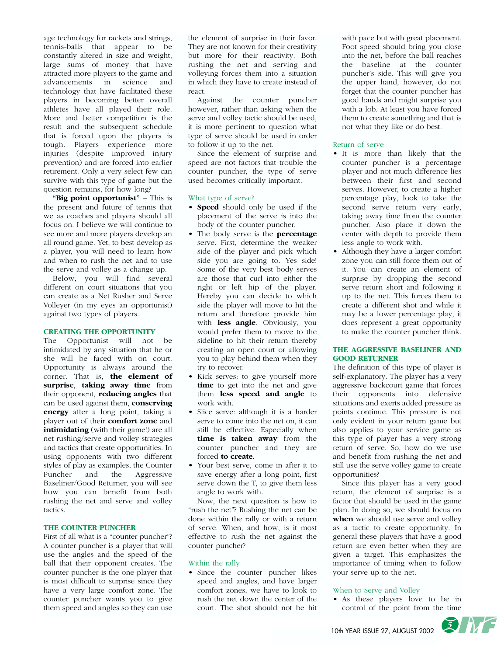age technology for rackets and strings, tennis-balls that appear to be constantly altered in size and weight, large sums of money that have attracted more players to the game and advancements in science and technology that have facilitated these players in becoming better overall athletes have all played their role. More and better competition is the result and the subsequent schedule that is forced upon the players is tough. Players experience more injuries (despite improved injury prevention) and are forced into earlier retirement. Only a very select few can survive with this type of game but the question remains, for how long?

**"Big point opportunist"** – This is the present and future of tennis that we as coaches and players should all focus on. I believe we will continue to see more and more players develop an all round game. Yet, to best develop as a player, you will need to learn how and when to rush the net and to use the serve and volley as a change up.

Below, you will find several different on court situations that you can create as a Net Rusher and Serve Volleyer (in my eyes an opportunist) against two types of players.

#### **CREATING THE OPPORTUNITY**

The Opportunist will not be intimidated by any situation that he or she will be faced with on court. Opportunity is always around the corner. That is, **the element of surprise**, **taking away time** from their opponent, **reducing angles** that can be used against them, **conserving energy** after a long point, taking a player out of their **comfort zone** and **intimidating** (with their game!) are all net rushing/serve and volley strategies and tactics that create opportunities. In using opponents with two different styles of play as examples, the Counter Puncher and the Aggressive Baseliner/Good Returner, you will see how you can benefit from both rushing the net and serve and volley tactics.

#### **THE COUNTER PUNCHER**

First of all what is a "counter puncher"? A counter puncher is a player that will use the angles and the speed of the ball that their opponent creates. The counter puncher is the one player that is most difficult to surprise since they have a very large comfort zone. The counter puncher wants you to give them speed and angles so they can use

the element of surprise in their favor. They are not known for their creativity but more for their reactivity. Both rushing the net and serving and volleying forces them into a situation in which they have to create instead of react.

Against the counter puncher however, rather than asking when the serve and volley tactic should be used, it is more pertinent to question what type of serve should be used in order to follow it up to the net.

Since the element of surprise and speed are not factors that trouble the counter puncher, the type of serve used becomes critically important.

#### What type of serve?

- **• Speed** should only be used if the placement of the serve is into the body of the counter puncher.
- **•** The body serve is the **percentage** serve. First, determine the weaker side of the player and pick which side you are going to. Yes side! Some of the very best body serves are those that curl into either the right or left hip of the player. Hereby you can decide to which side the player will move to hit the return and therefore provide him with **less angle**. Obviously, you would prefer them to move to the sideline to hit their return thereby creating an open court or allowing you to play behind them when they try to recover.
- **•** Kick serves: to give yourself more **time** to get into the net and give them **less speed and angle** to work with.
- **•** Slice serve: although it is a harder serve to come into the net on, it can still be effective. Especially when **time is taken away** from the counter puncher and they are forced **to create**.
- **•** Your best serve, come in after it to save energy after a long point, first serve down the T, to give them less angle to work with.

Now, the next question is how to "rush the net"? Rushing the net can be done within the rally or with a return of serve. When, and how, is it most effective to rush the net against the counter puncher?

#### Within the rally

**•** Since the counter puncher likes speed and angles, and have larger comfort zones, we have to look to rush the net down the center of the court. The shot should not be hit

with pace but with great placement. Foot speed should bring you close into the net, before the ball reaches the baseline at the counter puncher's side. This will give you the upper hand, however, do not forget that the counter puncher has good hands and might surprise you with a lob. At least you have forced them to create something and that is not what they like or do best.

#### Return of serve

- **•** It is more than likely that the counter puncher is a percentage player and not much difference lies between their first and second serves. However, to create a higher percentage play, look to take the second serve return very early, taking away time from the counter puncher. Also place it down the center with depth to provide them less angle to work with.
- **•** Although they have a larger comfort zone you can still force them out of it. You can create an element of surprise by dropping the second serve return short and following it up to the net. This forces them to create a different shot and while it may be a lower percentage play, it does represent a great opportunity to make the counter puncher think.

#### **THE AGGRESSIVE BASELINER AND GOOD RETURNER**

The definition of this type of player is self-explanatory. The player has a very aggressive backcourt game that forces their opponents into defensive situations and exerts added pressure as points continue. This pressure is not only evident in your return game but also applies to your service game as this type of player has a very strong return of serve. So, how do we use and benefit from rushing the net and still use the serve volley game to create opportunities?

Since this player has a very good return, the element of surprise is a factor that should be used in the game plan. In doing so, we should focus on **when** we should use serve and volley as a tactic to create opportunity. In general these players that have a good return are even better when they are given a target. This emphasizes the importance of timing when to follow your serve up to the net.

#### When to Serve and Volley

**•** As these players love to be in control of the point from the time

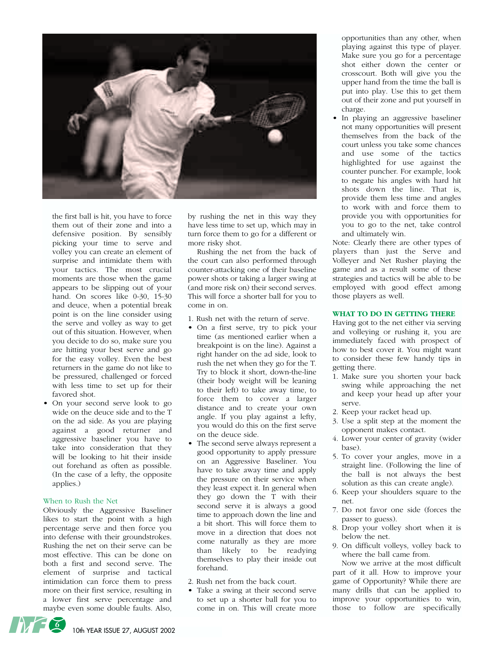

the first ball is hit, you have to force them out of their zone and into a defensive position. By sensibly picking your time to serve and volley you can create an element of surprise and intimidate them with your tactics. The most crucial moments are those when the game appears to be slipping out of your hand. On scores like 0-30, 15-30 and deuce, when a potential break point is on the line consider using the serve and volley as way to get out of this situation. However, when you decide to do so, make sure you are hitting your best serve and go for the easy volley. Even the best returners in the game do not like to be pressured, challenged or forced with less time to set up for their favored shot.

**•** On your second serve look to go wide on the deuce side and to the T on the ad side. As you are playing against a good returner and aggressive baseliner you have to take into consideration that they will be looking to hit their inside out forehand as often as possible. (In the case of a lefty, the opposite applies.)

#### When to Rush the Net

Obviously the Aggressive Baseliner likes to start the point with a high percentage serve and then force you into defense with their groundstrokes. Rushing the net on their serve can be most effective. This can be done on both a first and second serve. The element of surprise and tactical intimidation can force them to press more on their first service, resulting in a lower first serve percentage and maybe even some double faults. Also, by rushing the net in this way they have less time to set up, which may in turn force them to go for a different or more risky shot.

Rushing the net from the back of the court can also performed through counter-attacking one of their baseline power shots or taking a larger swing at (and more risk on) their second serves. This will force a shorter ball for you to come in on.

- 1. Rush net with the return of serve.
- **•** On a first serve, try to pick your time (as mentioned earlier when a breakpoint is on the line). Against a right hander on the ad side, look to rush the net when they go for the T. Try to block it short, down-the-line (their body weight will be leaning to their left) to take away time, to force them to cover a larger distance and to create your own angle. If you play against a lefty, you would do this on the first serve on the deuce side.
- **•** The second serve always represent a good opportunity to apply pressure on an Aggressive Baseliner. You have to take away time and apply the pressure on their service when they least expect it. In general when they go down the T with their second serve it is always a good time to approach down the line and a bit short. This will force them to move in a direction that does not come naturally as they are more than likely to be readying themselves to play their inside out forehand.
- 2. Rush net from the back court.
- **•** Take a swing at their second serve to set up a shorter ball for you to come in on. This will create more

opportunities than any other, when playing against this type of player. Make sure you go for a percentage shot either down the center or crosscourt. Both will give you the upper hand from the time the ball is put into play. Use this to get them out of their zone and put yourself in charge.

**•** In playing an aggressive baseliner not many opportunities will present themselves from the back of the court unless you take some chances and use some of the tactics highlighted for use against the counter puncher. For example, look to negate his angles with hard hit shots down the line. That is, provide them less time and angles to work with and force them to provide you with opportunities for you to go to the net, take control and ultimately win.

Note: Clearly there are other types of players than just the Serve and Volleyer and Net Rusher playing the game and as a result some of these strategies and tactics will be able to be employed with good effect among those players as well.

#### **WHAT TO DO IN GETTING THERE**

Having got to the net either via serving and volleying or rushing it, you are immediately faced with prospect of how to best cover it. You might want to consider these few handy tips in getting there.

- 1. Make sure you shorten your back swing while approaching the net and keep your head up after your serve.
- 2. Keep your racket head up.
- 3. Use a split step at the moment the opponent makes contact.
- 4. Lower your center of gravity (wider base).
- 5. To cover your angles, move in a straight line. (Following the line of the ball is not always the best solution as this can create angle).
- 6. Keep your shoulders square to the net.
- 7. Do not favor one side (forces the passer to guess).
- 8. Drop your volley short when it is below the net.
- 9. On difficult volleys, volley back to where the ball came from.

Now we arrive at the most difficult part of it all. How to improve your game of Opportunity? While there are many drills that can be applied to improve your opportunities to win, those to follow are specifically

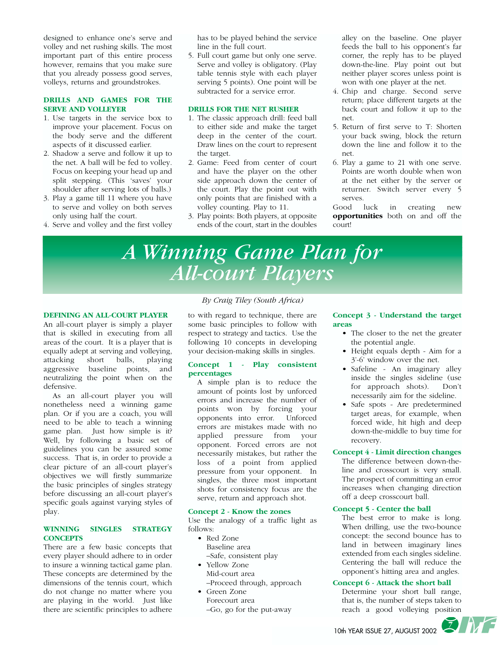designed to enhance one's serve and volley and net rushing skills. The most important part of this entire process however, remains that you make sure that you already possess good serves, volleys, returns and groundstrokes.

#### **DRILLS AND GAMES FOR THE SERVE AND VOLLEYER**

- 1. Use targets in the service box to improve your placement. Focus on the body serve and the different aspects of it discussed earlier.
- 2. Shadow a serve and follow it up to the net. A ball will be fed to volley. Focus on keeping your head up and split stepping. (This 'saves' your shoulder after serving lots of balls.)
- 3. Play a game till 11 where you have to serve and volley on both serves only using half the court.
- 4. Serve and volley and the first volley

has to be played behind the service line in the full court.

5. Full court game but only one serve. Serve and volley is obligatory. (Play table tennis style with each player serving 5 points). One point will be subtracted for a service error.

#### **DRILLS FOR THE NET RUSHER**

- 1. The classic approach drill: feed ball to either side and make the target deep in the center of the court. Draw lines on the court to represent the target.
- 2. Game: Feed from center of court and have the player on the other side approach down the center of the court. Play the point out with only points that are finished with a volley counting. Play to 11.
- 3. Play points: Both players, at opposite ends of the court, start in the doubles

alley on the baseline. One player feeds the ball to his opponent's far corner, the reply has to be played down-the-line. Play point out but neither player scores unless point is won with one player at the net.

- 4. Chip and charge. Second serve return; place different targets at the back court and follow it up to the net.
- 5. Return of first serve to T: Shorten your back swing, block the return down the line and follow it to the net.
- 6. Play a game to 21 with one serve. Points are worth double when won at the net either by the server or returner. Switch server every 5 serves.

Good luck in creating new **opportunities** both on and off the court!

# *A Winning Game Plan for All-court Players*

#### **DEFINING AN ALL-COURT PLAYER**

An all-court player is simply a player that is skilled in executing from all areas of the court. It is a player that is equally adept at serving and volleying, attacking short balls, playing aggressive baseline points, and neutralizing the point when on the defensive.

As an all-court player you will nonetheless need a winning game plan. Or if you are a coach, you will need to be able to teach a winning game plan. Just how simple is it? Well, by following a basic set of guidelines you can be assured some success. That is, in order to provide a clear picture of an all-court player's objectives we will firstly summarize the basic principles of singles strategy before discussing an all-court player's specific goals against varying styles of play.

#### **WINNING SINGLES STRATEGY CONCEPTS**

There are a few basic concepts that every player should adhere to in order to insure a winning tactical game plan. These concepts are determined by the dimensions of the tennis court, which do not change no matter where you are playing in the world. Just like there are scientific principles to adhere

#### *By Craig Tiley (South Africa)*

to with regard to technique, there are some basic principles to follow with respect to strategy and tactics. Use the following 10 concepts in developing your decision-making skills in singles.

#### **Concept 1 - Play consistent percentages**

A simple plan is to reduce the amount of points lost by unforced errors and increase the number of points won by forcing your opponents into error. Unforced errors are mistakes made with no applied pressure from your opponent. Forced errors are not necessarily mistakes, but rather the loss of a point from applied pressure from your opponent. In singles, the three most important shots for consistency focus are the serve, return and approach shot.

#### **Concept 2 - Know the zones**

Use the analogy of a traffic light as follows:

- Red Zone Baseline area –Safe, consistent play
- Yellow Zone Mid-court area –Proceed through, approach
- Green Zone Forecourt area –Go, go for the put-away

#### **Concept 3 - Understand the target areas**

- The closer to the net the greater the potential angle.
- Height equals depth Aim for a 3'-6' window over the net.
- Safeline An imaginary alley inside the singles sideline (use for approach shots). Don't necessarily aim for the sideline.
- Safe spots Are predetermined target areas, for example, when forced wide, hit high and deep down-the-middle to buy time for recovery.

#### **Concept 4 - Limit direction changes**

The difference between down-theline and crosscourt is very small. The prospect of committing an error increases when changing direction off a deep crosscourt ball.

#### **Concept 5 - Center the ball**

The best error to make is long. When drilling, use the two-bounce concept: the second bounce has to land in between imaginary lines extended from each singles sideline. Centering the ball will reduce the opponent's hitting area and angles.

#### **Concept 6 - Attack the short ball**

Determine your short ball range, that is, the number of steps taken to reach a good volleying position

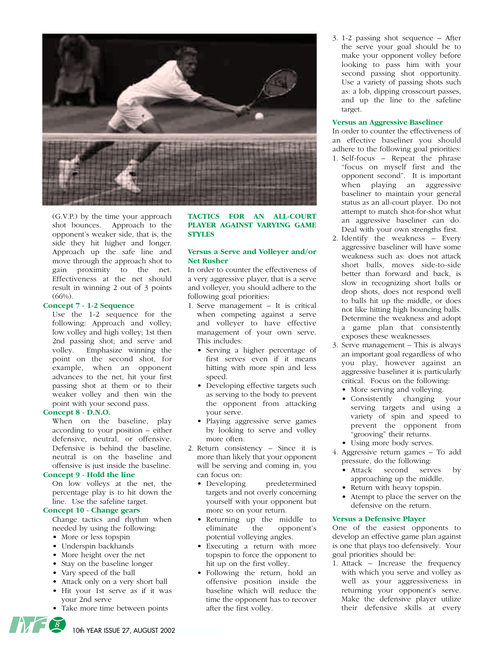

(G.V.P.) by the time your approach shot bounces. Approach to the opponent's weaker side, that is, the side they hit higher and longer. Approach up the safe line and move through the approach shot to gain proximity to the net. Effectiveness at the net should result in winning 2 out of 3 points  $(66\%)$ .

#### **Concept 7 - 1-2 Sequence**

Use the 1-2 sequence for the following: Approach and volley; low volley and high volley; 1st then 2nd passing shot; and serve and volley. Emphasize winning the point on the second shot, for example, when an opponent advances to the net, hit your first passing shot at them or to their weaker volley and then win the point with your second pass.

#### **Concept 8 - D.N.O.**

When on the baseline, play according to your position – either defensive, neutral, or offensive. Defensive is behind the baseline, neutral is on the baseline and offensive is just inside the baseline.

#### **Concept 9 - Hold the line**

On low volleys at the net, the percentage play is to hit down the line. Use the safeline target.

#### **Concept 10 - Change gears**

Change tactics and rhythm when needed by using the following:

- More or less topspin
- Underspin backhands
- More height over the net
- Stay on the baseline longer
- Vary speed of the ball
- Attack only on a very short ball • Hit your 1st serve as if it was your 2nd serve
- Take more time between points

#### **TACTICS FOR AN ALL-COURT PLAYER AGAINST VARYING GAME STYLES**

#### **Versus a Serve and Volleyer and/or Net Rusher**

In order to counter the effectiveness of a very aggressive player, that is a serve and volleyer, you should adhere to the following goal priorities:

- 1. Serve management It is critical when competing against a serve and volleyer to have effective management of your own serve. This includes:
	- Serving a higher percentage of first serves even if it means hitting with more spin and less speed.
	- Developing effective targets such as serving to the body to prevent the opponent from attacking your serve.
	- Playing aggressive serve games by looking to serve and volley more often.
- 2. Return consistency Since it is more than likely that your opponent will be serving and coming in, you can focus on:
	- Developing predetermined targets and not overly concerning yourself with your opponent but more so on your return.
	- Returning up the middle to eliminate the opponent's potential volleying angles.
	- Executing a return with more topspin to force the opponent to hit up on the first volley.
	- Following the return, hold an offensive position inside the baseline which will reduce the time the opponent has to recover after the first volley.

3. 1-2 passing shot sequence – After the serve your goal should be to make your opponent volley before looking to pass him with your second passing shot opportunity. Use a variety of passing shots such as: a lob, dipping crosscourt passes, and up the line to the safeline target.

#### **Versus an Aggressive Baseliner**

In order to counter the effectiveness of an effective baseliner you should adhere to the following goal priorities:

- 1. Self-focus Repeat the phrase "focus on myself first and the opponent second". It is important when playing an aggressive baseliner to maintain your general status as an all-court player. Do not attempt to match shot-for-shot what an aggressive baseliner can do. Deal with your own strengths first.
- 2. Identify the weakness Every aggressive baseliner will have some weakness such as: does not attack short balls, moves side-to-side better than forward and back, is slow in recognizing short balls or drop shots, does not respond well to balls hit up the middle, or does not like hitting high bouncing balls. Determine the weakness and adopt a game plan that consistently exposes these weaknesses.
- 3. Serve management This is always an important goal regardless of who you play, however against an aggressive baseliner it is particularly critical. Focus on the following:
	- More serving and volleying.
	- Consistently changing your serving targets and using a variety of spin and speed to prevent the opponent from "grooving" their returns.
	- Using more body serves.
- 4. Aggressive return games To add pressure, do the following:
	- Attack second serves by approaching up the middle.
	- Return with heavy topspin.
	- Atempt to place the server on the defensive on the return.

#### **Versus a Defensive Player**

One of the easiest opponents to develop an effective game plan against is one that plays too defensively. Your goal priorities should be:

1. Attack – Increase the frequency with which you serve and volley as well as your aggressiveness in returning your opponent's serve. Make the defensive player utilize their defensive skills at every



10th YEAR ISSUE 27, AUGUST 2002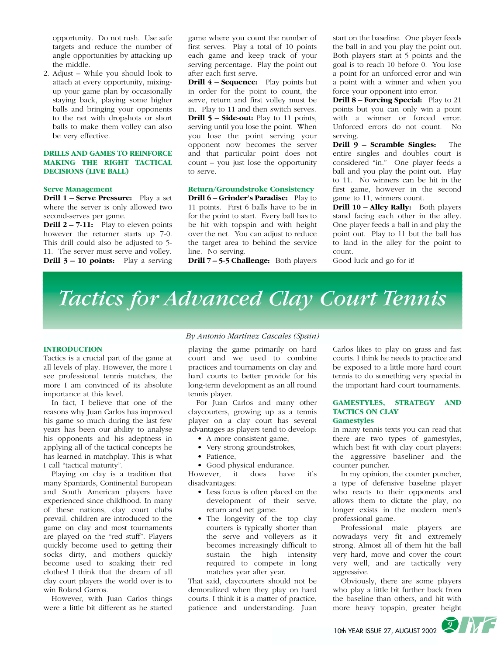opportunity. Do not rush. Use safe targets and reduce the number of angle opportunities by attacking up the middle.

2. Adjust – While you should look to attach at every opportunity, mixingup your game plan by occasionally staying back, playing some higher balls and bringing your opponents to the net with dropshots or short balls to make them volley can also be very effective.

#### **DRILLS AND GAMES TO REINFORCE MAKING THE RIGHT TACTICAL DECISIONS (LIVE BALL)**

#### **Serve Management**

**Drill 1 – Serve Pressure:** Play a set where the server is only allowed two second-serves per game.

**Drill 2 – 7-11:** Play to eleven points however the returner starts up 7-0. This drill could also be adjusted to 5- 11. The server must serve and volley. **Drill 3 – 10 points:** Play a serving game where you count the number of first serves. Play a total of 10 points each game and keep track of your serving percentage. Play the point out after each first serve.

**Drill 4 – Sequence:** Play points but in order for the point to count, the serve, return and first volley must be in. Play to 11 and then switch serves. **Drill 5 – Side-out:** Play to 11 points, serving until you lose the point. When you lose the point serving your opponent now becomes the server and that particular point does not count – you just lose the opportunity to serve.

#### **Return/Groundstroke Consistency**

**Drill 6 – Grinder's Paradise:** Play to 11 points. First 6 balls have to be in for the point to start. Every ball has to be hit with topspin and with height over the net. You can adjust to reduce the target area to behind the service line. No serving.

**Drill 7 – 5-5 Challenge:** Both players

start on the baseline. One player feeds the ball in and you play the point out. Both players start at 5 points and the goal is to reach 10 before 0. You lose a point for an unforced error and win a point with a winner and when you force your opponent into error.

**Drill 8 – Forcing Special:** Play to 21 points but you can only win a point with a winner or forced error. Unforced errors do not count. No serving.

**Drill 9 – Scramble Singles:** The entire singles and doubles court is considered "in." One player feeds a ball and you play the point out. Play to 11. No winners can be hit in the first game, however in the second game to 11, winners count.

**Drill 10 – Alley Rally:** Both players stand facing each other in the alley. One player feeds a ball in and play the point out. Play to 11 but the ball has to land in the alley for the point to count.

Good luck and go for it!

*Tactics for Advanced Clay Court Tennis*

#### **INTRODUCTION**

Tactics is a crucial part of the game at all levels of play. However, the more I see professional tennis matches, the more I am convinced of its absolute importance at this level.

In fact, I believe that one of the reasons why Juan Carlos has improved his game so much during the last few years has been our ability to analyse his opponents and his adeptness in applying all of the tactical concepts he has learned in matchplay. This is what I call "tactical maturity".

Playing on clay is a tradition that many Spaniards, Continental European and South American players have experienced since childhood. In many of these nations, clay court clubs prevail, children are introduced to the game on clay and most tournaments are played on the "red stuff". Players quickly become used to getting their socks dirty, and mothers quickly become used to soaking their red clothes! I think that the dream of all clay court players the world over is to win Roland Garros.

However, with Juan Carlos things were a little bit different as he started

#### *By Antonio Martínez Cascales (Spain)*

playing the game primarily on hard court and we used to combine practices and tournaments on clay and hard courts to better provide for his long-term development as an all round tennis player.

For Juan Carlos and many other claycourters, growing up as a tennis player on a clay court has several advantages as players tend to develop:

- A more consistent game,
- Very strong groundstrokes,
- Patience,
- Good physical endurance.

However, it does have it's disadvantages:

- Less focus is often placed on the development of their serve, return and net game.
- The longevity of the top clay courters is typically shorter than the serve and volleyers as it becomes increasingly difficult to sustain the high intensity required to compete in long matches year after year.

That said, claycourters should not be demoralized when they play on hard courts. I think it is a matter of practice, patience and understanding. Juan Carlos likes to play on grass and fast courts. I think he needs to practice and be exposed to a little more hard court tennis to do something very special in the important hard court tournaments.

#### **GAMESTYLES, STRATEGY AND TACTICS ON CLAY Gamestyles**

In many tennis texts you can read that there are two types of gamestyles, which best fit with clay court players: the aggressive baseliner and the counter puncher.

In my opinion, the counter puncher, a type of defensive baseline player who reacts to their opponents and allows them to dictate the play, no longer exists in the modern men's professional game.

Professional male players are nowadays very fit and extremely strong. Almost all of them hit the ball very hard, move and cover the court very well, and are tactically very aggressive.

Obviously, there are some players who play a little bit further back from the baseline than others, and hit with more heavy topspin, greater height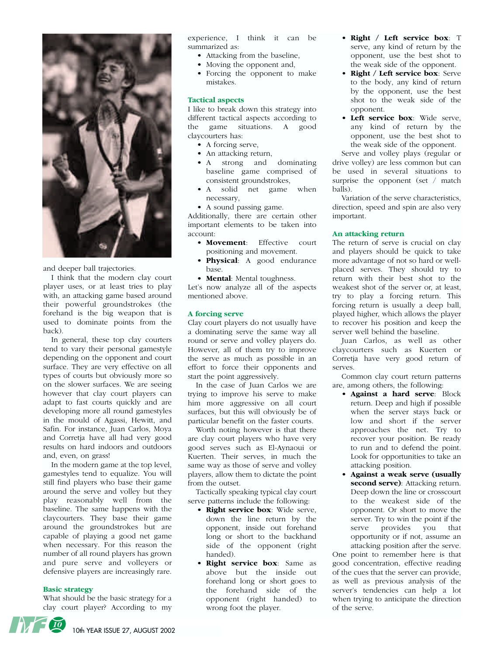

and deeper ball trajectories.

I think that the modern clay court player uses, or at least tries to play with, an attacking game based around their powerful groundstrokes (the forehand is the big weapon that is used to dominate points from the back).

In general, these top clay courters tend to vary their personal gamestyle depending on the opponent and court surface. They are very effective on all types of courts but obviously more so on the slower surfaces. We are seeing however that clay court players can adapt to fast courts quickly and are developing more all round gamestyles in the mould of Agassi, Hewitt, and Safin. For instance, Juan Carlos, Moya and Corretja have all had very good results on hard indoors and outdoors and, even, on grass!

In the modern game at the top level, gamestyles tend to equalize. You will still find players who base their game around the serve and volley but they play reasonably well from the baseline. The same happens with the claycourters. They base their game around the groundstrokes but are capable of playing a good net game when necessary. For this reason the number of all round players has grown and pure serve and volleyers or defensive players are increasingly rare.

#### **Basic strategy**

What should be the basic strategy for a clay court player? According to my experience, I think it can be summarized as:

- Attacking from the baseline,
- Moving the opponent and,
- Forcing the opponent to make mistakes.

#### **Tactical aspects**

I like to break down this strategy into different tactical aspects according to the game situations. A good claycourters has:

- A forcing serve,
- An attacking return,
- A strong and dominating baseline game comprised of consistent groundstrokes,
- A solid net game when necessary,
- A sound passing game.

Additionally, there are certain other important elements to be taken into account:

- **Movement**: Effective court positioning and movement.
- **Physical**: A good endurance base.

• **Mental**: Mental toughness. Let's now analyze all of the aspects mentioned above.

#### **A forcing serve**

Clay court players do not usually have a dominating serve the same way all round or serve and volley players do. However, all of them try to improve the serve as much as possible in an effort to force their opponents and start the point aggressively.

In the case of Juan Carlos we are trying to improve his serve to make him more aggressive on all court surfaces, but this will obviously be of particular benefit on the faster courts.

Worth noting however is that there are clay court players who have very good serves such as El-Aynaoui or Kuerten. Their serves, in much the same way as those of serve and volley players, allow them to dictate the point from the outset.

Tactically speaking typical clay court serve patterns include the following:

- **Right service box**: Wide serve, down the line return by the opponent, inside out forehand long or short to the backhand side of the opponent (right handed).
- **Right service box**: Same as above but the inside out forehand long or short goes to the forehand side of the opponent (right handed) to wrong foot the player.
- **Right / Left service box**: T serve, any kind of return by the opponent, use the best shot to the weak side of the opponent.
- **Right / Left service box**: Serve to the body, any kind of return by the opponent, use the best shot to the weak side of the opponent.
- **Left service box**: Wide serve, any kind of return by the opponent, use the best shot to the weak side of the opponent.

Serve and volley plays (regular or drive volley) are less common but can be used in several situations to surprise the opponent (set / match balls).

Variation of the serve characteristics, direction, speed and spin are also very important.

#### **An attacking return**

The return of serve is crucial on clay and players should be quick to take more advantage of not so hard or wellplaced serves. They should try to return with their best shot to the weakest shot of the server or, at least, try to play a forcing return. This forcing return is usually a deep ball, played higher, which allows the player to recover his position and keep the server well behind the baseline.

Juan Carlos, as well as other claycourters such as Kuerten or Corretja have very good return of serves.

Common clay court return patterns are, among others, the following:

- **Against a hard serve**: Block return. Deep and high if possible when the server stays back or low and short if the server approaches the net. Try to recover your position. Be ready to run and to defend the point. Look for opportunities to take an attacking position.
- **Against a weak serve (usually second serve)**: Attacking return. Deep down the line or crosscourt to the weakest side of the opponent. Or short to move the server. Try to win the point if the<br>serve provides you that serve provides you that opportunity or if not, assume an attacking position after the serve.

One point to remember here is that good concentration, effective reading of the cues that the server can provide, as well as previous analysis of the server's tendencies can help a lot when trying to anticipate the direction of the serve.

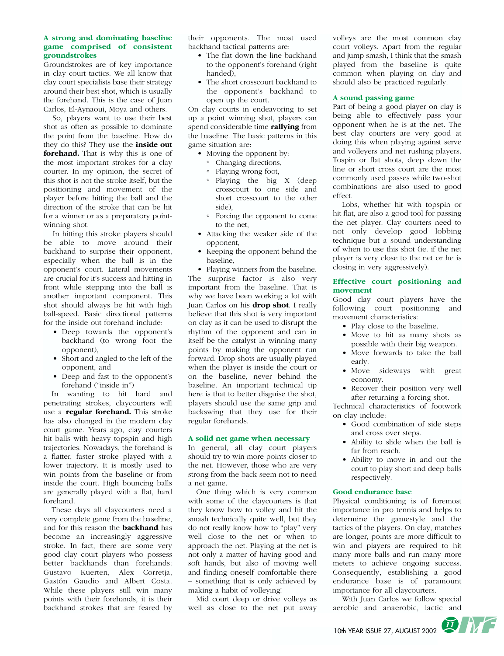#### **A strong and dominating baseline game comprised of consistent groundstrokes**

Groundstrokes are of key importance in clay court tactics. We all know that clay court specialists base their strategy around their best shot, which is usually the forehand. This is the case of Juan Carlos, El-Aynaoui, Moya and others.

So, players want to use their best shot as often as possible to dominate the point from the baseline. How do they do this? They use the **inside out forehand.** That is why this is one of the most important strokes for a clay courter. In my opinion, the secret of this shot is not the stroke itself, but the positioning and movement of the player before hitting the ball and the direction of the stroke that can be hit for a winner or as a preparatory pointwinning shot.

In hitting this stroke players should be able to move around their backhand to surprise their opponent, especially when the ball is in the opponent's court. Lateral movements are crucial for it's success and hitting in front while stepping into the ball is another important component. This shot should always be hit with high ball-speed. Basic directional patterns for the inside out forehand include:

- Deep towards the opponent's backhand (to wrong foot the opponent),
- Short and angled to the left of the opponent, and
- Deep and fast to the opponent's forehand ("inside in")

In wanting to hit hard and penetrating strokes, claycourters will use a **regular forehand.** This stroke has also changed in the modern clay court game. Years ago, clay courters hit balls with heavy topspin and high trajectories. Nowadays, the forehand is a flatter, faster stroke played with a lower trajectory. It is mostly used to win points from the baseline or from inside the court. High bouncing balls are generally played with a flat, hard forehand.

These days all claycourters need a very complete game from the baseline, and for this reason the **backhand** has become an increasingly aggressive stroke. In fact, there are some very good clay court players who possess better backhands than forehands: Gustavo Kuerten, Alex Corretja, Gastón Gaudio and Albert Costa. While these players still win many points with their forehands, it is their backhand strokes that are feared by their opponents. The most used backhand tactical patterns are:

- The flat down the line backhand to the opponent's forehand (right handed),
- The short crosscourt backhand to the opponent's backhand to open up the court.

On clay courts in endeavoring to set up a point winning shot, players can spend considerable time **rallying** from the baseline. The basic patterns in this game situation are:

- Moving the opponent by:
	- ° Changing directions,
	- ° Playing wrong foot,
	- ° Playing the big X (deep crosscourt to one side and short crosscourt to the other side)
- ° Forcing the opponent to come to the net,
- Attacking the weaker side of the opponent,
- Keeping the opponent behind the baseline,

• Playing winners from the baseline. The surprise factor is also very important from the baseline. That is why we have been working a lot with Juan Carlos on his **drop shot**. I really believe that this shot is very important on clay as it can be used to disrupt the rhythm of the opponent and can in itself be the catalyst in winning many points by making the opponent run forward. Drop shots are usually played when the player is inside the court or on the baseline, never behind the baseline. An important technical tip here is that to better disguise the shot, players should use the same grip and backswing that they use for their regular forehands.

#### **A solid net game when necessary**

In general, all clay court players should try to win more points closer to the net. However, those who are very strong from the back seem not to need a net game.

One thing which is very common with some of the claycourters is that they know how to volley and hit the smash technically quite well, but they do not really know how to "play" very well close to the net or when to approach the net. Playing at the net is not only a matter of having good and soft hands, but also of moving well and finding oneself comfortable there – something that is only achieved by making a habit of volleying!

Mid court deep or drive volleys as well as close to the net put away volleys are the most common clay court volleys. Apart from the regular and jump smash, I think that the smash played from the baseline is quite common when playing on clay and should also be practiced regularly.

#### **A sound passing game**

Part of being a good player on clay is being able to effectively pass your opponent when he is at the net. The best clay courters are very good at doing this when playing against serve and volleyers and net rushing players. Tospin or flat shots, deep down the line or short cross court are the most commonly used passes while two-shot combinations are also used to good effect.

Lobs, whether hit with topspin or hit flat, are also a good tool for passing the net player. Clay courters need to not only develop good lobbing technique but a sound understanding of when to use this shot (ie. if the net player is very close to the net or he is closing in very aggressively).

#### **Effective court positioning and movement**

Good clay court players have the following court positioning and movement characteristics:

- Play close to the baseline.
- Move to hit as many shots as possible with their big weapon.
- Move forwards to take the ball early.
- Move sideways with great economy.
- Recover their position very well after returning a forcing shot.

Technical characteristics of footwork on clay include:

- Good combination of side steps and cross over steps.
- Ability to slide when the ball is far from reach.
- Ability to move in and out the court to play short and deep balls respectively.

#### **Good endurance base**

Physical conditioning is of foremost importance in pro tennis and helps to determine the gamestyle and the tactics of the players. On clay, matches are longer, points are more difficult to win and players are required to hit many more balls and run many more meters to achieve ongoing success. Consequently, establishing a good endurance base is of paramount importance for all claycourters.

With Juan Carlos we follow special aerobic and anaerobic, lactic and

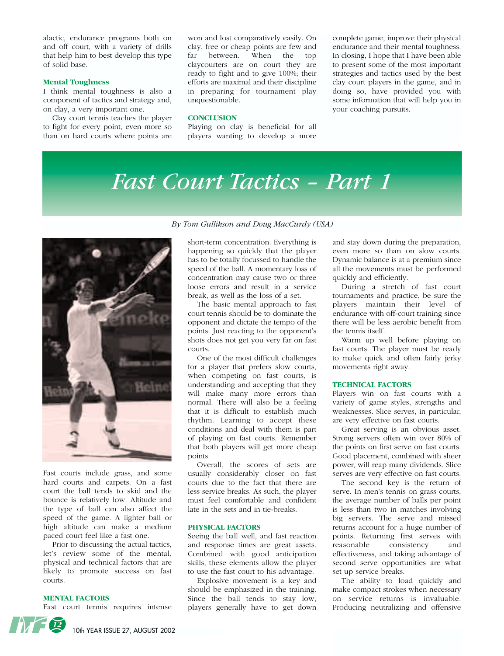alactic, endurance programs both on and off court, with a variety of drills that help him to best develop this type of solid base.

#### **Mental Toughness**

I think mental toughness is also a component of tactics and strategy and, on clay, a very important one.

Clay court tennis teaches the player to fight for every point, even more so than on hard courts where points are

won and lost comparatively easily. On clay, free or cheap points are few and far between. When the top claycourters are on court they are ready to fight and to give 100%; their efforts are maximal and their discipline in preparing for tournament play unquestionable.

#### **CONCLUSION**

Playing on clay is beneficial for all players wanting to develop a more

complete game, improve their physical endurance and their mental toughness. In closing, I hope that I have been able to present some of the most important strategies and tactics used by the best clay court players in the game, and in doing so, have provided you with some information that will help you in your coaching pursuits.

# *Fast Court Tactics – Part 1*



Fast courts include grass, and some hard courts and carpets. On a fast court the ball tends to skid and the bounce is relatively low. Altitude and the type of ball can also affect the speed of the game. A lighter ball or high altitude can make a medium paced court feel like a fast one.

Prior to discussing the actual tactics, let's review some of the mental, physical and technical factors that are likely to promote success on fast courts.

#### **MENTAL FACTORS**

Fast court tennis requires intense

#### *By Tom Gullikson and Doug MacCurdy (USA)*

short-term concentration. Everything is happening so quickly that the player has to be totally focussed to handle the speed of the ball. A momentary loss of concentration may cause two or three loose errors and result in a service break, as well as the loss of a set.

The basic mental approach to fast court tennis should be to dominate the opponent and dictate the tempo of the points. Just reacting to the opponent's shots does not get you very far on fast courts.

One of the most difficult challenges for a player that prefers slow courts, when competing on fast courts, is understanding and accepting that they will make many more errors than normal. There will also be a feeling that it is difficult to establish much rhythm. Learning to accept these conditions and deal with them is part of playing on fast courts. Remember that both players will get more cheap points.

Overall, the scores of sets are usually considerably closer on fast courts due to the fact that there are less service breaks. As such, the player must feel comfortable and confident late in the sets and in tie-breaks.

#### **PHYSICAL FACTORS**

Seeing the ball well, and fast reaction and response times are great assets. Combined with good anticipation skills, these elements allow the player to use the fast court to his advantage.

Explosive movement is a key and should be emphasized in the training. Since the ball tends to stay low, players generally have to get down and stay down during the preparation, even more so than on slow courts. Dynamic balance is at a premium since all the movements must be performed quickly and efficiently.

During a stretch of fast court tournaments and practice, be sure the players maintain their level of endurance with off-court training since there will be less aerobic benefit from the tennis itself.

Warm up well before playing on fast courts. The player must be ready to make quick and often fairly jerky movements right away.

#### **TECHNICAL FACTORS**

Players win on fast courts with a variety of game styles, strengths and weaknesses. Slice serves, in particular, are very effective on fast courts.

Great serving is an obvious asset. Strong servers often win over 80% of the points on first serve on fast courts. Good placement, combined with sheer power, will reap many dividends. Slice serves are very effective on fast courts.

The second key is the return of serve. In men's tennis on grass courts, the average number of balls per point is less than two in matches involving big servers. The serve and missed returns account for a huge number of points. Returning first serves with reasonable consistency and effectiveness, and taking advantage of second serve opportunities are what set up service breaks.

The ability to load quickly and make compact strokes when necessary on service returns is invaluable. Producing neutralizing and offensive

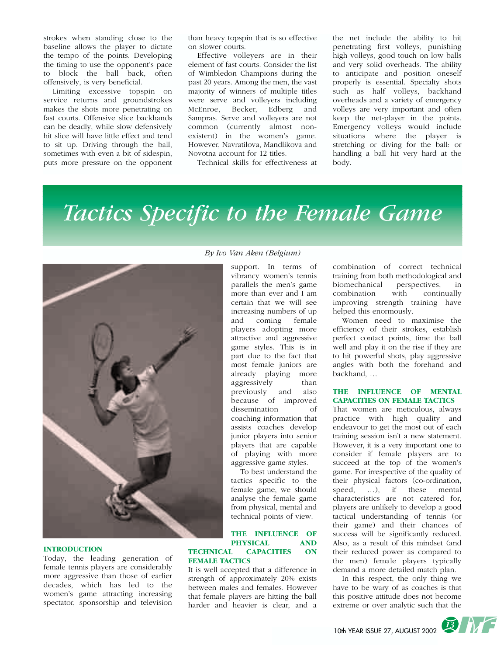strokes when standing close to the baseline allows the player to dictate the tempo of the points. Developing the timing to use the opponent's pace to block the ball back, often offensively, is very beneficial.

Limiting excessive topspin on service returns and groundstrokes makes the shots more penetrating on fast courts. Offensive slice backhands can be deadly, while slow defensively hit slice will have little effect and tend to sit up. Driving through the ball, sometimes with even a bit of sidespin, puts more pressure on the opponent

than heavy topspin that is so effective on slower courts.

Effective volleyers are in their element of fast courts. Consider the list of Wimbledon Champions during the past 20 years. Among the men, the vast majority of winners of multiple titles were serve and volleyers including McEnroe, Becker, Edberg and Sampras. Serve and volleyers are not common (currently almost nonexistent) in the women's game. However, Navratilova, Mandlikova and Novotna account for 12 titles.

Technical skills for effectiveness at

the net include the ability to hit penetrating first volleys, punishing high volleys, good touch on low balls and very solid overheads. The ability to anticipate and position oneself properly is essential. Specialty shots such as half volleys, backhand overheads and a variety of emergency volleys are very important and often keep the net-player in the points. Emergency volleys would include situations where the player is stretching or diving for the ball: or handling a ball hit very hard at the body.

# *Tactics Specific to the Female Game*



#### **INTRODUCTION**

Today, the leading generation of female tennis players are considerably more aggressive than those of earlier decades, which has led to the women's game attracting increasing spectator, sponsorship and television

#### *By Ivo Van Aken (Belgium)*

support. In terms of vibrancy women's tennis parallels the men's game more than ever and I am certain that we will see increasing numbers of up<br>and coming female and coming players adopting more attractive and aggressive game styles. This is in part due to the fact that most female juniors are already playing more aggressively than previously and also because of improved dissemination of coaching information that assists coaches develop junior players into senior players that are capable of playing with more aggressive game styles.

To best understand the tactics specific to the female game, we should analyse the female game from physical, mental and technical points of view.

#### **THE INFLUENCE OF PHYSICAL AND<br>TECHNICAL CAPACITIES ON** CAPACITIES ON **FEMALE TACTICS**

It is well accepted that a difference in strength of approximately 20% exists between males and females. However that female players are hitting the ball harder and heavier is clear, and a combination of correct technical training from both methodological and biomechanical perspectives, in combination with continually improving strength training have helped this enormously.

Women need to maximise the efficiency of their strokes, establish perfect contact points, time the ball well and play it on the rise if they are to hit powerful shots, play aggressive angles with both the forehand and backhand, …

#### **THE INFLUENCE OF MENTAL CAPACITIES ON FEMALE TACTICS**

That women are meticulous, always practice with high quality and endeavour to get the most out of each training session isn't a new statement. However, it is a very important one to consider if female players are to succeed at the top of the women's game. For irrespective of the quality of their physical factors (co-ordination, speed, …), if these mental characteristics are not catered for, players are unlikely to develop a good tactical understanding of tennis (or their game) and their chances of success will be significantly reduced. Also, as a result of this mindset (and their reduced power as compared to the men) female players typically demand a more detailed match plan.

In this respect, the only thing we have to be wary of as coaches is that this positive attitude does not become extreme or over analytic such that the

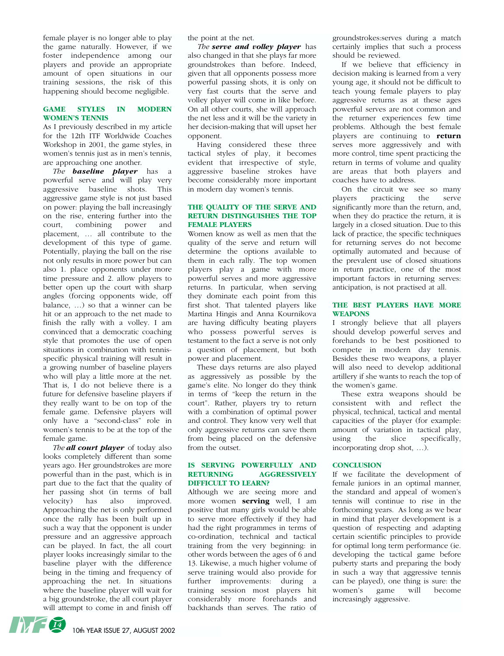female player is no longer able to play the game naturally. However, if we foster independence among our players and provide an appropriate amount of open situations in our training sessions, the risk of this happening should become negligible.

#### **GAME STYLES IN MODERN WOMEN'S TENNIS**

As I previously described in my article for the 12th ITF Worldwide Coaches Workshop in 2001, the game styles, in women's tennis just as in men's tennis, are approaching one another.

*The baseline player* has a powerful serve and will play very aggressive baseline shots. This aggressive game style is not just based on power: playing the ball increasingly on the rise, entering further into the court, combining power and placement, … all contribute to the development of this type of game. Potentially, playing the ball on the rise not only results in more power but can also 1. place opponents under more time pressure and 2. allow players to better open up the court with sharp angles (forcing opponents wide, off balance, …) so that a winner can be hit or an approach to the net made to finish the rally with a volley. I am convinced that a democratic coaching style that promotes the use of open situations in combination with tennisspecific physical training will result in a growing number of baseline players who will play a little more at the net. That is, I do not believe there is a future for defensive baseline players if they really want to be on top of the female game. Defensive players will only have a "second-class" role in women's tennis to be at the top of the female game.

*The all court player* of today also looks completely different than some years ago. Her groundstrokes are more powerful than in the past, which is in part due to the fact that the quality of her passing shot (in terms of ball velocity) has also improved. Approaching the net is only performed once the rally has been built up in such a way that the opponent is under pressure and an aggressive approach can be played. In fact, the all court player looks increasingly similar to the baseline player with the difference being in the timing and frequency of approaching the net. In situations where the baseline player will wait for a big groundstroke, the all court player will attempt to come in and finish off the point at the net.

*The serve and volley player* has also changed in that she plays far more groundstrokes than before. Indeed, given that all opponents possess more powerful passing shots, it is only on very fast courts that the serve and volley player will come in like before. On all other courts, she will approach the net less and it will be the variety in her decision-making that will upset her opponent.

Having considered these three tactical styles of play, it becomes evident that irrespective of style, aggressive baseline strokes have become considerably more important in modern day women's tennis.

#### **THE QUALITY OF THE SERVE AND RETURN DISTINGUISHES THE TOP FEMALE PLAYERS**

Women know as well as men that the quality of the serve and return will determine the options available to them in each rally. The top women players play a game with more powerful serves and more aggressive returns. In particular, when serving they dominate each point from this first shot. That talented players like Martina Hingis and Anna Kournikova are having difficulty beating players who possess powerful serves is testament to the fact a serve is not only a question of placement, but both power and placement.

These days returns are also played as aggressively as possible by the game's elite. No longer do they think in terms of "keep the return in the court". Rather, players try to return with a combination of optimal power and control. They know very well that only aggressive returns can save them from being placed on the defensive from the outset.

#### **IS SERVING POWERFULLY AND RETURNING AGGRESSIVELY DIFFICULT TO LEARN?**

Although we are seeing more and more women **serving** well, I am positive that many girls would be able to serve more effectively if they had had the right programmes in terms of co-ordination, technical and tactical training from the very beginning: in other words between the ages of 6 and 13. Likewise, a much higher volume of serve training would also provide for further improvements: during a training session most players hit considerably more forehands and backhands than serves. The ratio of groundstrokes:serves during a match certainly implies that such a process should be reviewed.

If we believe that efficiency in decision making is learned from a very young age, it should not be difficult to teach young female players to play aggressive returns as at these ages powerful serves are not common and the returner experiences few time problems. Although the best female players are continuing to **return** serves more aggressively and with more control, time spent practicing the return in terms of volume and quality are areas that both players and coaches have to address.

On the circuit we see so many players practicing the serve significantly more than the return, and, when they do practice the return, it is largely in a closed situation. Due to this lack of practice, the specific techniques for returning serves do not become optimally automated and because of the prevalent use of closed situations in return practice, one of the most important factors in returning serves: anticipation, is not practised at all.

#### **THE BEST PLAYERS HAVE MORE WEAPONS**

I strongly believe that all players should develop powerful serves and forehands to be best positioned to compete in modern day tennis. Besides these two weapons, a player will also need to develop additional artillery if she wants to reach the top of the women's game.

These extra weapons should be consistent with and reflect the physical, technical, tactical and mental capacities of the player (for example: amount of variation in tactical play,<br>using the slice specifically, using the slice specifically, incorporating drop shot, …).

#### **CONCLUSION**

If we facilitate the development of female juniors in an optimal manner, the standard and appeal of women's tennis will continue to rise in the forthcoming years. As long as we bear in mind that player development is a question of respecting and adapting certain scientific principles to provide for optimal long term performance (ie. developing the tactical game before puberty starts and preparing the body in such a way that aggressive tennis can be played), one thing is sure: the women's game will become increasingly aggressive.

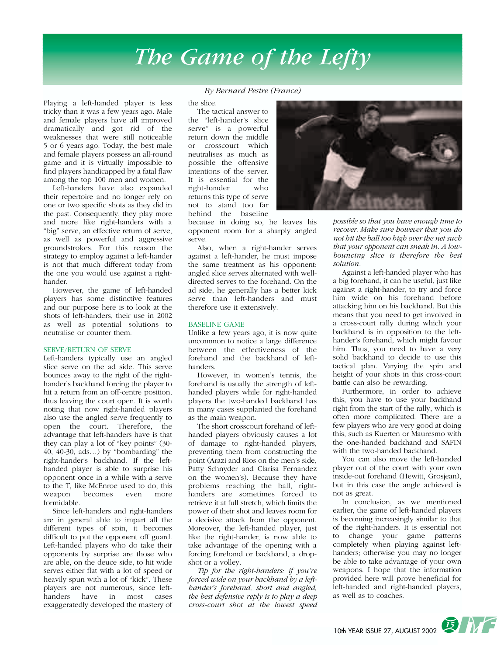# *The Game of the Lefty*

Playing a left-handed player is less tricky than it was a few years ago. Male and female players have all improved dramatically and got rid of the weaknesses that were still noticeable 5 or 6 years ago. Today, the best male and female players possess an all-round game and it is virtually impossible to find players handicapped by a fatal flaw among the top 100 men and women.

Left-handers have also expanded their repertoire and no longer rely on one or two specific shots as they did in the past. Consequently, they play more and more like right-handers with a "big" serve, an effective return of serve, as well as powerful and aggressive groundstrokes. For this reason the strategy to employ against a left-hander is not that much different today from the one you would use against a righthander.

However, the game of left-handed players has some distinctive features and our purpose here is to look at the shots of left-handers, their use in 2002 as well as potential solutions to neutralise or counter them.

#### SERVE/RETURN OF SERVE

Left-handers typically use an angled slice serve on the ad side. This serve bounces away to the right of the righthander's backhand forcing the player to hit a return from an off-centre position, thus leaving the court open. It is worth noting that now right-handed players also use the angled serve frequently to open the court. Therefore, the advantage that left-handers have is that they can play a lot of "key points" (30- 40, 40-30, ads…) by "bombarding" the right-hander's backhand. If the lefthanded player is able to surprise his opponent once in a while with a serve to the T, like McEnroe used to do, this weapon becomes even more formidable.

Since left-handers and right-handers are in general able to impart all the different types of spin, it becomes difficult to put the opponent off guard. Left-handed players who do take their opponents by surprise are those who are able, on the deuce side, to hit wide serves either flat with a lot of speed or heavily spun with a lot of "kick". These players are not numerous, since lefthanders have in most cases exaggeratedly developed the mastery of

#### *By Bernard Pestre (France)*

the slice.

The tactical answer to the "left-hander's slice serve" is a powerful return down the middle or crosscourt which neutralises as much as possible the offensive intentions of the server. It is essential for the right-hander who returns this type of serve not to stand too far behind the baseline

because in doing so, he leaves his opponent room for a sharply angled serve.

Also, when a right-hander serves against a left-hander, he must impose the same treatment as his opponent: angled slice serves alternated with welldirected serves to the forehand. On the ad side, he generally has a better kick serve than left-handers and must therefore use it extensively.

#### BASELINE GAME

Unlike a few years ago, it is now quite uncommon to notice a large difference between the effectiveness of the forehand and the backhand of lefthanders.

However, in women's tennis, the forehand is usually the strength of lefthanded players while for right-handed players the two-handed backhand has in many cases supplanted the forehand as the main weapon.

The short crosscourt forehand of lefthanded players obviously causes a lot of damage to right-handed players, preventing them from constructing the point (Arazi and Rios on the men's side, Patty Schnyder and Clarisa Fernandez on the women's). Because they have problems reaching the ball, righthanders are sometimes forced to retrieve it at full stretch, which limits the power of their shot and leaves room for a decisive attack from the opponent. Moreover, the left-handed player, just like the right-hander, is now able to take advantage of the opening with a forcing forehand or backhand, a dropshot or a volley.

*Tip for the right-handers: if you're forced wide on your backhand by a lefthander's forehand, short and angled, the best defensive reply is to play a deep cross-court shot at the lowest speed*



*possible so that you have enough time to recover. Make sure however that you do not hit the ball too high over the net such that your opponent can sneak in. A lowbouncing slice is therefore the best solution.*

Against a left-handed player who has a big forehand, it can be useful, just like against a right-hander, to try and force him wide on his forehand before attacking him on his backhand. But this means that you need to get involved in a cross-court rally during which your backhand is in opposition to the lefthander's forehand, which might favour him. Thus, you need to have a very solid backhand to decide to use this tactical plan. Varying the spin and height of your shots in this cross-court battle can also be rewarding.

Furthermore, in order to achieve this, you have to use your backhand right from the start of the rally, which is often more complicated. There are a few players who are very good at doing this, such as Kuerten or Mauresmo with the one-handed backhand and SAFIN with the two-handed backhand.

You can also move the left-handed player out of the court with your own inside-out forehand (Hewitt, Grosjean), but in this case the angle achieved is not as great.

In conclusion, as we mentioned earlier, the game of left-handed players is becoming increasingly similar to that of the right-handers. It is essential not to change your game patterns completely when playing against lefthanders; otherwise you may no longer be able to take advantage of your own weapons. I hope that the information provided here will prove beneficial for left-handed and right-handed players, as well as to coaches.